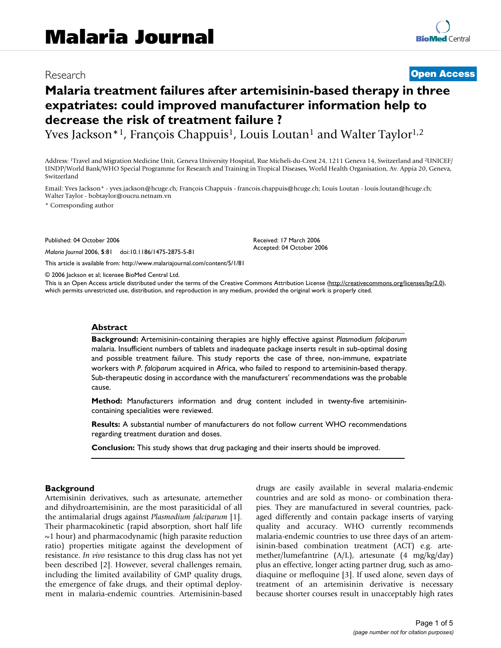## Research **[Open Access](http://www.biomedcentral.com/info/about/charter/)**

# **Malaria treatment failures after artemisinin-based therapy in three expatriates: could improved manufacturer information help to decrease the risk of treatment failure ?**

Yves Jackson<sup>\*1</sup>, François Chappuis<sup>1</sup>, Louis Loutan<sup>1</sup> and Walter Taylor<sup>1,2</sup>

Address: 1Travel and Migration Medicine Unit, Geneva University Hospital, Rue Micheli-du-Crest 24, 1211 Geneva 14, Switzerland and 2UNICEF/ UNDP/World Bank/WHO Special Programme for Research and Training in Tropical Diseases, World Health Organisation, Av. Appia 20, Geneva, Switzerland

Email: Yves Jackson\* - yves.jackson@hcuge.ch; François Chappuis - francois.chappuis@hcuge.ch; Louis Loutan - louis.loutan@hcuge.ch; Walter Taylor - bobtaylor@oucru.netnam.vn

\* Corresponding author

Published: 04 October 2006

*Malaria Journal* 2006, **5**:81 doi:10.1186/1475-2875-5-81

[This article is available from: http://www.malariajournal.com/content/5/1/81](http://www.malariajournal.com/content/5/1/81)

© 2006 Jackson et al; licensee BioMed Central Ltd.

This is an Open Access article distributed under the terms of the Creative Commons Attribution License [\(http://creativecommons.org/licenses/by/2.0\)](http://creativecommons.org/licenses/by/2.0), which permits unrestricted use, distribution, and reproduction in any medium, provided the original work is properly cited.

Received: 17 March 2006 Accepted: 04 October 2006

#### **Abstract**

**Background:** Artemisinin-containing therapies are highly effective against *Plasmodium falciparum* malaria. Insufficient numbers of tablets and inadequate package inserts result in sub-optimal dosing and possible treatment failure. This study reports the case of three, non-immune, expatriate workers with *P*. *falciparum* acquired in Africa, who failed to respond to artemisinin-based therapy. Sub-therapeutic dosing in accordance with the manufacturers' recommendations was the probable cause.

**Method:** Manufacturers information and drug content included in twenty-five artemisinincontaining specialities were reviewed.

**Results:** A substantial number of manufacturers do not follow current WHO recommendations regarding treatment duration and doses.

**Conclusion:** This study shows that drug packaging and their inserts should be improved.

#### **Background**

Artemisinin derivatives, such as artesunate, artemether and dihydroartemisinin, are the most parasiticidal of all the antimalarial drugs against *Plasmodium falciparum* [1]. Their pharmacokinetic (rapid absorption, short half life  $\sim$ 1 hour) and pharmacodynamic (high parasite reduction ratio) properties mitigate against the development of resistance. *In vivo* resistance to this drug class has not yet been described [2]. However, several challenges remain, including the limited availability of GMP quality drugs, the emergence of fake drugs, and their optimal deployment in malaria-endemic countries. Artemisinin-based drugs are easily available in several malaria-endemic countries and are sold as mono- or combination therapies. They are manufactured in several countries, packaged differently and contain package inserts of varying quality and accuracy. WHO currently recommends malaria-endemic countries to use three days of an artemisinin-based combination treatment (ACT) e.g. artemether/lumefantrine (A/L), artesunate (4 mg/kg/day) plus an effective, longer acting partner drug, such as amodiaquine or mefloquine [3]. If used alone, seven days of treatment of an artemisinin derivative is necessary because shorter courses result in unacceptably high rates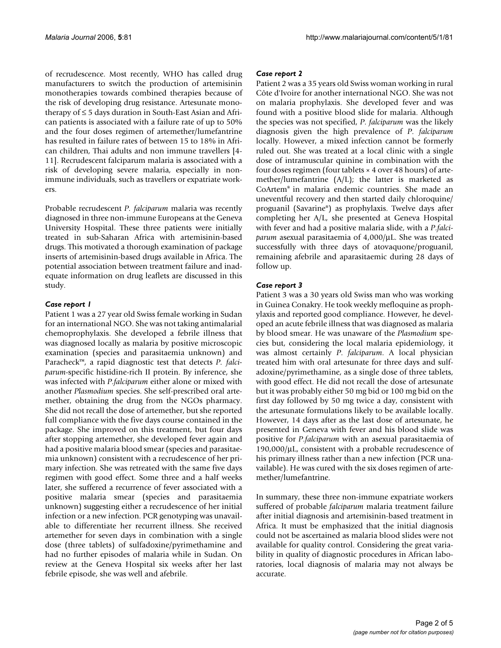of recrudescence. Most recently, WHO has called drug manufacturers to switch the production of artemisinin monotherapies towards combined therapies because of the risk of developing drug resistance. Artesunate monotherapy of ≤ 5 days duration in South-East Asian and African patients is associated with a failure rate of up to 50% and the four doses regimen of artemether/lumefantrine has resulted in failure rates of between 15 to 18% in African children, Thai adults and non immune travellers [4- 11]. Recrudescent falciparum malaria is associated with a risk of developing severe malaria, especially in nonimmune individuals, such as travellers or expatriate workers.

Probable recrudescent *P. falciparum* malaria was recently diagnosed in three non-immune Europeans at the Geneva University Hospital. These three patients were initially treated in sub-Saharan Africa with artemisinin-based drugs. This motivated a thorough examination of package inserts of artemisinin-based drugs available in Africa. The potential association between treatment failure and inadequate information on drug leaflets are discussed in this study.

#### *Case report 1*

Patient 1 was a 27 year old Swiss female working in Sudan for an international NGO. She was not taking antimalarial chemoprophylaxis. She developed a febrile illness that was diagnosed locally as malaria by positive microscopic examination (species and parasitaemia unknown) and Paracheck™, a rapid diagnostic test that detects *P. falciparum*-specific histidine-rich II protein. By inference, she was infected with *P*.*falciparum* either alone or mixed with another *Plasmodium* species. She self-prescribed oral artemether, obtaining the drug from the NGOs pharmacy. She did not recall the dose of artemether, but she reported full compliance with the five days course contained in the package. She improved on this treatment, but four days after stopping artemether, she developed fever again and had a positive malaria blood smear (species and parasitaemia unknown) consistent with a recrudescence of her primary infection. She was retreated with the same five days regimen with good effect. Some three and a half weeks later, she suffered a recurrence of fever associated with a positive malaria smear (species and parasitaemia unknown) suggesting either a recrudescence of her initial infection or a new infection. PCR genotyping was unavailable to differentiate her recurrent illness. She received artemether for seven days in combination with a single dose (three tablets) of sulfadoxine/pyrimethamine and had no further episodes of malaria while in Sudan. On review at the Geneva Hospital six weeks after her last febrile episode, she was well and afebrile.

#### *Case report 2*

Patient 2 was a 35 years old Swiss woman working in rural Côte d'Ivoire for another international NGO. She was not on malaria prophylaxis. She developed fever and was found with a positive blood slide for malaria. Although the species was not specified, *P*. *falciparum* was the likely diagnosis given the high prevalence of *P*. *falciparum* locally. However, a mixed infection cannot be formerly ruled out. She was treated at a local clinic with a single dose of intramuscular quinine in combination with the four doses regimen (four tablets  $\times$  4 over 48 hours) of artemether/lumefantrine (A/L); the latter is marketed as CoArtem® in malaria endemic countries. She made an uneventful recovery and then started daily chloroquine/ proguanil (Savarine®) as prophylaxis. Twelve days after completing her A/L, she presented at Geneva Hospital with fever and had a positive malaria slide, with a *P*.*falciparum* asexual parasitaemia of 4,000/μL. She was treated successfully with three days of atovaquone/proguanil, remaining afebrile and aparasitaemic during 28 days of follow up.

#### *Case report 3*

Patient 3 was a 30 years old Swiss man who was working in Guinea Conakry. He took weekly mefloquine as prophylaxis and reported good compliance. However, he developed an acute febrile illness that was diagnosed as malaria by blood smear. He was unaware of the *Plasmodium* species but, considering the local malaria epidemiology, it was almost certainly *P*. *falciparum*. A local physician treated him with oral artesunate for three days and sulfadoxine/pyrimethamine, as a single dose of three tablets, with good effect. He did not recall the dose of artesunate but it was probably either 50 mg bid or 100 mg bid on the first day followed by 50 mg twice a day, consistent with the artesunate formulations likely to be available locally. However, 14 days after as the last dose of artesunate, he presented in Geneva with fever and his blood slide was positive for *P*.*falciparum* with an asexual parasitaemia of 190,000/μL, consistent with a probable recrudescence of his primary illness rather than a new infection (PCR unavailable). He was cured with the six doses regimen of artemether/lumefantrine.

In summary, these three non-immune expatriate workers suffered of probable *falciparum* malaria treatment failure after initial diagnosis and artemisinin-based treatment in Africa. It must be emphasized that the initial diagnosis could not be ascertained as malaria blood slides were not available for quality control. Considering the great variability in quality of diagnostic procedures in African laboratories, local diagnosis of malaria may not always be accurate.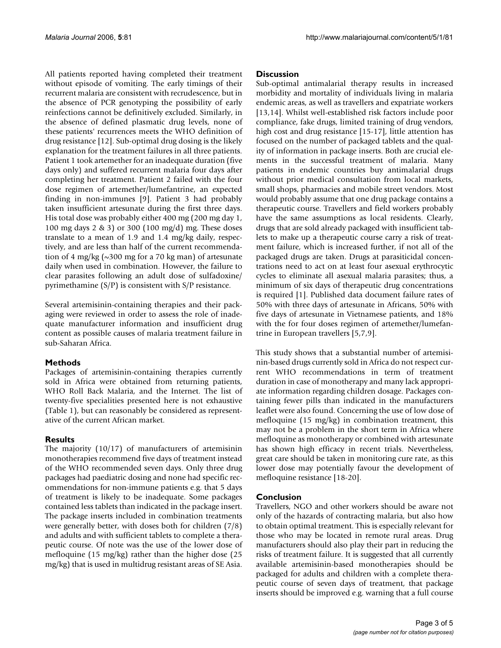All patients reported having completed their treatment without episode of vomiting. The early timings of their recurrent malaria are consistent with recrudescence, but in the absence of PCR genotyping the possibility of early reinfections cannot be definitively excluded. Similarly, in the absence of defined plasmatic drug levels, none of these patients' recurrences meets the WHO definition of drug resistance [12]. Sub-optimal drug dosing is the likely explanation for the treatment failures in all three patients. Patient 1 took artemether for an inadequate duration (five days only) and suffered recurrent malaria four days after completing her treatment. Patient 2 failed with the four dose regimen of artemether/lumefantrine, an expected finding in non-immunes [9]. Patient 3 had probably taken insufficient artesunate during the first three days. His total dose was probably either 400 mg (200 mg day 1, 100 mg days 2 & 3) or 300 (100 mg/d) mg. These doses translate to a mean of 1.9 and 1.4 mg/kg daily, respectively, and are less than half of the current recommendation of 4 mg/kg ( $\sim$ 300 mg for a 70 kg man) of artesunate daily when used in combination. However, the failure to clear parasites following an adult dose of sulfadoxine/ pyrimethamine (S/P) is consistent with S/P resistance.

Several artemisinin-containing therapies and their packaging were reviewed in order to assess the role of inadequate manufacturer information and insufficient drug content as possible causes of malaria treatment failure in sub-Saharan Africa.

#### **Methods**

Packages of artemisinin-containing therapies currently sold in Africa were obtained from returning patients, WHO Roll Back Malaria, and the Internet. The list of twenty-five specialities presented here is not exhaustive (Table 1), but can reasonably be considered as representative of the current African market.

### **Results**

The majority (10/17) of manufacturers of artemisinin monotherapies recommend five days of treatment instead of the WHO recommended seven days. Only three drug packages had paediatric dosing and none had specific recommendations for non-immune patients e.g. that 5 days of treatment is likely to be inadequate. Some packages contained less tablets than indicated in the package insert. The package inserts included in combination treatments were generally better, with doses both for children (7/8) and adults and with sufficient tablets to complete a therapeutic course. Of note was the use of the lower dose of mefloquine (15 mg/kg) rather than the higher dose (25 mg/kg) that is used in multidrug resistant areas of SE Asia.

#### **Discussion**

Sub-optimal antimalarial therapy results in increased morbidity and mortality of individuals living in malaria endemic areas, as well as travellers and expatriate workers [13,14]. Whilst well-established risk factors include poor compliance, fake drugs, limited training of drug vendors, high cost and drug resistance [15-17], little attention has focused on the number of packaged tablets and the quality of information in package inserts. Both are crucial elements in the successful treatment of malaria. Many patients in endemic countries buy antimalarial drugs without prior medical consultation from local markets, small shops, pharmacies and mobile street vendors. Most would probably assume that one drug package contains a therapeutic course. Travellers and field workers probably have the same assumptions as local residents. Clearly, drugs that are sold already packaged with insufficient tablets to make up a therapeutic course carry a risk of treatment failure, which is increased further, if not all of the packaged drugs are taken. Drugs at parasiticidal concentrations need to act on at least four asexual erythrocytic cycles to eliminate all asexual malaria parasites; thus, a minimum of six days of therapeutic drug concentrations is required [1]. Published data document failure rates of 50% with three days of artesunate in Africans, 50% with five days of artesunate in Vietnamese patients, and 18% with the for four doses regimen of artemether/lumefantrine in European travellers [5,7,9].

This study shows that a substantial number of artemisinin-based drugs currently sold in Africa do not respect current WHO recommendations in term of treatment duration in case of monotherapy and many lack appropriate information regarding children dosage. Packages containing fewer pills than indicated in the manufacturers leaflet were also found. Concerning the use of low dose of mefloquine (15 mg/kg) in combination treatment, this may not be a problem in the short term in Africa where mefloquine as monotherapy or combined with artesunate has shown high efficacy in recent trials. Nevertheless, great care should be taken in monitoring cure rate, as this lower dose may potentially favour the development of mefloquine resistance [18-20].

#### **Conclusion**

Travellers, NGO and other workers should be aware not only of the hazards of contracting malaria, but also how to obtain optimal treatment. This is especially relevant for those who may be located in remote rural areas. Drug manufacturers should also play their part in reducing the risks of treatment failure. It is suggested that all currently available artemisinin-based monotherapies should be packaged for adults and children with a complete therapeutic course of seven days of treatment, that package inserts should be improved e.g. warning that a full course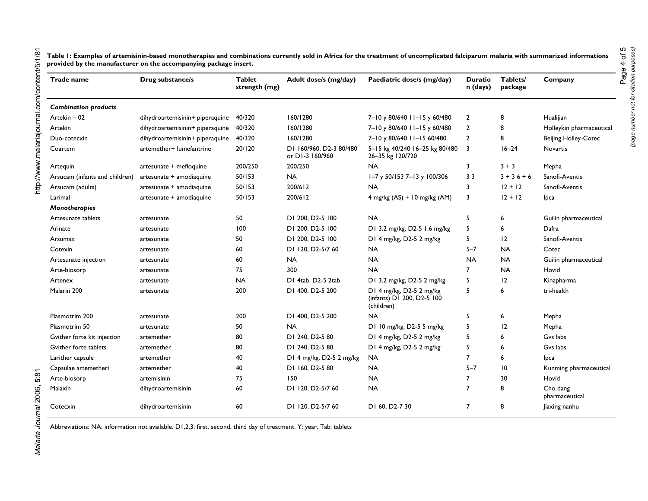**Table 1: Examples of artemisinin-based monotherapies and combinations currently sold in Africa for the treatment of uncomplicated falciparum malaria with summarized informations provided by the manufacturer on the accompanying package insert.**

| Trade name                     | Drug substance/s                | <b>Tablet</b><br>strength (mg) | Adult dose/s (mg/day)                      | Paediatric dose/s (mg/day)                                           | <b>Duratio</b><br>n (days) | Tablets/<br>package | Company                     |
|--------------------------------|---------------------------------|--------------------------------|--------------------------------------------|----------------------------------------------------------------------|----------------------------|---------------------|-----------------------------|
| <b>Combination products</b>    |                                 |                                |                                            |                                                                      |                            |                     |                             |
| Artekin - 02                   | dihydroartemisinin+ piperaquine | 40/320                         | 160/1280                                   | 7-10 y 80/640 11-15 y 60/480                                         | $\overline{2}$             | 8                   | Hualijian                   |
| Artekin                        | dihydroartemisinin+ piperaquine | 40/320                         | 160/1280                                   | 7-10 y 80/640 11-15 y 60/480                                         | $\overline{2}$             | 8                   | Holleykin pharmaceutical    |
| Duo-cotecxin                   | dihydroartemisinin+ piperaquine | 40/320                         | 160/1280                                   | 7-10 y 80/640 11-15 60/480                                           | $\overline{2}$             | 8                   | <b>Beijing Holley-Cotec</b> |
| Coartem                        | artemether+ lumefantrine        | 20/120                         | DI 160/960, D2-3 80/480<br>or DI-3 160/960 | 5-15 kg 40/240 16-25 kg 80/480<br>26-35 kg 120/720                   | 3                          | $16 - 24$           | Novartis                    |
| Artequin                       | artesunate + mefloquine         | 200/250                        | 200/250                                    | <b>NA</b>                                                            | 3                          | $3 + 3$             | Mepha                       |
| Arsucam (infants and children) | artesunate + amodiaquine        | 50/153                         | <b>NA</b>                                  | I-7 y 50/153 7-13 y 100/306                                          | 3 <sub>3</sub>             | $3 + 36 + 6$        | Sanofi-Aventis              |
| Arsucam (adults)               | artesunate + amodiaquine        | 50/153                         | 200/612                                    | <b>NA</b>                                                            | 3                          | $12 + 12$           | Sanofi-Aventis              |
| Larimal                        | artesunate + amodiaquine        | 50/153                         | 200/612                                    | 4 mg/kg (AS) + 10 mg/kg (AM)                                         | 3                          | $12 + 12$           | Ipca                        |
| Monotherapies                  |                                 |                                |                                            |                                                                      |                            |                     |                             |
| Artesunate tablets             | artesunate                      | 50                             | D1 200, D2-5 100                           | <b>NA</b>                                                            | 5                          | 6                   | Guilin pharmaceutical       |
| Arinate                        | artesunate                      | 100                            | D1 200, D2-5 100                           | D1 3.2 mg/kg, D2-5 1.6 mg/kg                                         | 5                          | 6                   | Dafra                       |
| Arsumax                        | artesunate                      | 50                             | D1 200, D2-5 100                           | D1 4 mg/kg, D2-5 2 mg/kg                                             | 5                          | 12                  | Sanofi-Aventis              |
| Cotexin                        | artesunate                      | 60                             | DI 120, D2-5/7 60                          | <b>NA</b>                                                            | $5 - 7$                    | <b>NA</b>           | Cotec                       |
| Artesunate injection           | artesunate                      | 60                             | <b>NA</b>                                  | <b>NA</b>                                                            | <b>NA</b>                  | <b>NA</b>           | Guilin pharmaceutical       |
| Arte-biosorp                   | artesunate                      | 75                             | 300                                        | <b>NA</b>                                                            | $\overline{7}$             | <b>NA</b>           | Hovid                       |
| Artenex                        | artesunate                      | <b>NA</b>                      | D1 4tab, D2-5 2tab                         | D1 3.2 mg/kg, D2-5 2 mg/kg                                           | 5                          | 12                  | Kinapharma                  |
| Malarin 200                    | artesunate                      | 200                            | D1 400, D2-5 200                           | D1 4 mg/kg, D2-5 2 mg/kg<br>(infants) D1 200, D2-5 100<br>(children) | 5                          | 6                   | tri-health                  |
| Plasmotrim 200                 | artesunate                      | 200                            | D1 400, D2-5 200                           | <b>NA</b>                                                            | 5                          | 6                   | Mepha                       |
| Plasmotrim 50                  | artesunate                      | 50                             | <b>NA</b>                                  | D1 10 mg/kg, D2-5 5 mg/kg                                            | 5                          | 12                  | Mepha                       |
| Gvither forte kit injection    | artemether                      | 80                             | D1 240, D2-5 80                            | D1 4 mg/kg, D2-5 2 mg/kg                                             | 5                          | 6                   | Gvs labs                    |
| Gvither forte tablets          | artemether                      | 80                             | DI 240, D2-5 80                            | D1 4 mg/kg, D2-5 2 mg/kg                                             | 5                          | 6                   | Gvs labs                    |
| Larither capsule               | artemether                      | 40                             | D1 4 mg/kg, D2-5 2 mg/kg                   | <b>NA</b>                                                            | $\overline{7}$             | 6                   | lpca                        |
| Capsulae artemetheri           | artemether                      | 40                             | DI 160, D2-5 80                            | <b>NA</b>                                                            | $5 - 7$                    | $\overline{10}$     | Kunming pharmaceutical      |
| Arte-biosorp                   | artemisinin                     | 75                             | 150                                        | <b>NA</b>                                                            | $\overline{7}$             | 30                  | Hovid                       |
| Malaxin                        | dihydroartemisinin              | 60                             | D1 120, D2-5/7 60                          | <b>NA</b>                                                            | $\overline{7}$             | 8                   | Cho dang<br>pharmaceutical  |
| Cotecxin                       | dihydroartemisinin              | 60                             | DI 120, D2-5/7 60                          | D1 60, D2-7 30                                                       | $\overline{7}$             | 8                   | Jiaxing nanhu               |

Abbreviations: NA: information not available. D1,2,3: first, second, third day of treatment. Y: year. Tab: tablets